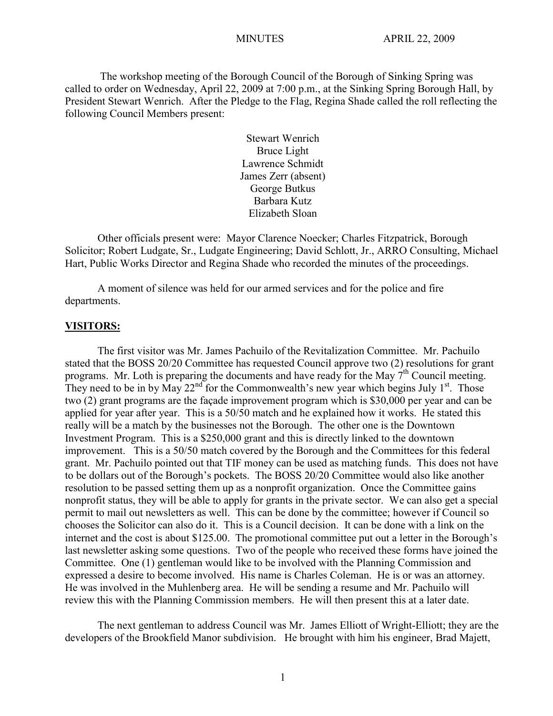The workshop meeting of the Borough Council of the Borough of Sinking Spring was called to order on Wednesday, April 22, 2009 at 7:00 p.m., at the Sinking Spring Borough Hall, by President Stewart Wenrich. After the Pledge to the Flag, Regina Shade called the roll reflecting the following Council Members present:

> Stewart Wenrich Bruce Light Lawrence Schmidt James Zerr (absent) George Butkus Barbara Kutz Elizabeth Sloan

Other officials present were: Mayor Clarence Noecker; Charles Fitzpatrick, Borough Solicitor; Robert Ludgate, Sr., Ludgate Engineering; David Schlott, Jr., ARRO Consulting, Michael Hart, Public Works Director and Regina Shade who recorded the minutes of the proceedings.

A moment of silence was held for our armed services and for the police and fire departments.

#### **VISITORS:**

The first visitor was Mr. James Pachuilo of the Revitalization Committee. Mr. Pachuilo stated that the BOSS 20/20 Committee has requested Council approve two (2) resolutions for grant programs. Mr. Loth is preparing the documents and have ready for the May  $7<sup>th</sup>$  Council meeting. They need to be in by May  $22^{nd}$  for the Commonwealth's new year which begins July  $1^{st}$ . Those two (2) grant programs are the façade improvement program which is \$30,000 per year and can be applied for year after year. This is a 50/50 match and he explained how it works. He stated this really will be a match by the businesses not the Borough. The other one is the Downtown Investment Program. This is a \$250,000 grant and this is directly linked to the downtown improvement. This is a 50/50 match covered by the Borough and the Committees for this federal grant. Mr. Pachuilo pointed out that TIF money can be used as matching funds. This does not have to be dollars out of the Borough's pockets. The BOSS 20/20 Committee would also like another resolution to be passed setting them up as a nonprofit organization. Once the Committee gains nonprofit status, they will be able to apply for grants in the private sector. We can also get a special permit to mail out newsletters as well. This can be done by the committee; however if Council so chooses the Solicitor can also do it. This is a Council decision. It can be done with a link on the internet and the cost is about \$125.00. The promotional committee put out a letter in the Borough's last newsletter asking some questions. Two of the people who received these forms have joined the Committee. One (1) gentleman would like to be involved with the Planning Commission and expressed a desire to become involved. His name is Charles Coleman. He is or was an attorney. He was involved in the Muhlenberg area. He will be sending a resume and Mr. Pachuilo will review this with the Planning Commission members. He will then present this at a later date.

The next gentleman to address Council was Mr. James Elliott of Wright-Elliott; they are the developers of the Brookfield Manor subdivision. He brought with him his engineer, Brad Majett,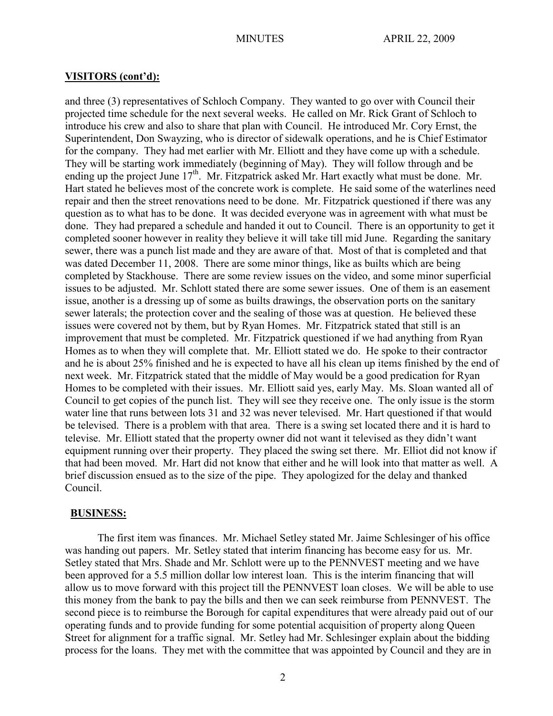## **VISITORS (cont'd):**

and three (3) representatives of Schloch Company. They wanted to go over with Council their projected time schedule for the next several weeks. He called on Mr. Rick Grant of Schloch to introduce his crew and also to share that plan with Council. He introduced Mr. Cory Ernst, the Superintendent, Don Swayzing, who is director of sidewalk operations, and he is Chief Estimator for the company. They had met earlier with Mr. Elliott and they have come up with a schedule. They will be starting work immediately (beginning of May). They will follow through and be ending up the project June  $17<sup>th</sup>$ . Mr. Fitzpatrick asked Mr. Hart exactly what must be done. Mr. Hart stated he believes most of the concrete work is complete. He said some of the waterlines need repair and then the street renovations need to be done. Mr. Fitzpatrick questioned if there was any question as to what has to be done. It was decided everyone was in agreement with what must be done. They had prepared a schedule and handed it out to Council. There is an opportunity to get it completed sooner however in reality they believe it will take till mid June. Regarding the sanitary sewer, there was a punch list made and they are aware of that. Most of that is completed and that was dated December 11, 2008. There are some minor things, like as builts which are being completed by Stackhouse. There are some review issues on the video, and some minor superficial issues to be adjusted. Mr. Schlott stated there are some sewer issues. One of them is an easement issue, another is a dressing up of some as builts drawings, the observation ports on the sanitary sewer laterals; the protection cover and the sealing of those was at question. He believed these issues were covered not by them, but by Ryan Homes. Mr. Fitzpatrick stated that still is an improvement that must be completed. Mr. Fitzpatrick questioned if we had anything from Ryan Homes as to when they will complete that. Mr. Elliott stated we do. He spoke to their contractor and he is about 25% finished and he is expected to have all his clean up items finished by the end of next week. Mr. Fitzpatrick stated that the middle of May would be a good predication for Ryan Homes to be completed with their issues. Mr. Elliott said yes, early May. Ms. Sloan wanted all of Council to get copies of the punch list. They will see they receive one. The only issue is the storm water line that runs between lots 31 and 32 was never televised. Mr. Hart questioned if that would be televised. There is a problem with that area. There is a swing set located there and it is hard to televise. Mr. Elliott stated that the property owner did not want it televised as they didn't want equipment running over their property. They placed the swing set there. Mr. Elliot did not know if that had been moved. Mr. Hart did not know that either and he will look into that matter as well. A brief discussion ensued as to the size of the pipe. They apologized for the delay and thanked Council.

## **BUSINESS:**

The first item was finances. Mr. Michael Setley stated Mr. Jaime Schlesinger of his office was handing out papers. Mr. Setley stated that interim financing has become easy for us. Mr. Setley stated that Mrs. Shade and Mr. Schlott were up to the PENNVEST meeting and we have been approved for a 5.5 million dollar low interest loan. This is the interim financing that will allow us to move forward with this project till the PENNVEST loan closes. We will be able to use this money from the bank to pay the bills and then we can seek reimburse from PENNVEST. The second piece is to reimburse the Borough for capital expenditures that were already paid out of our operating funds and to provide funding for some potential acquisition of property along Queen Street for alignment for a traffic signal. Mr. Setley had Mr. Schlesinger explain about the bidding process for the loans. They met with the committee that was appointed by Council and they are in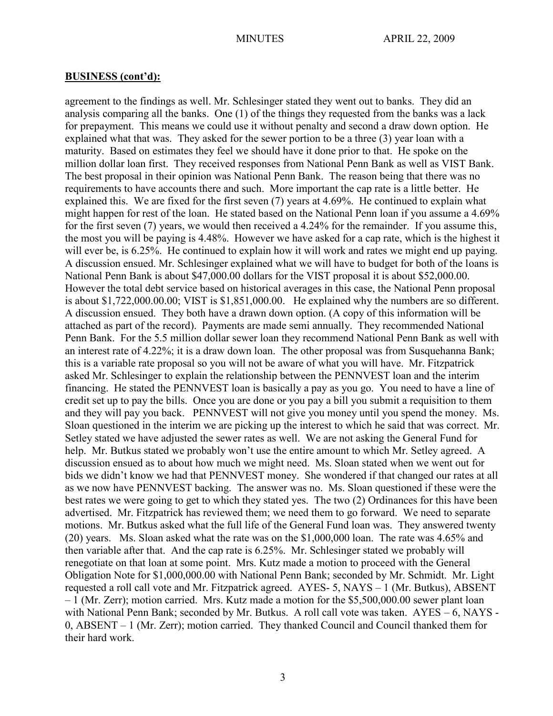agreement to the findings as well. Mr. Schlesinger stated they went out to banks. They did an analysis comparing all the banks. One (1) of the things they requested from the banks was a lack for prepayment. This means we could use it without penalty and second a draw down option. He explained what that was. They asked for the sewer portion to be a three (3) year loan with a maturity. Based on estimates they feel we should have it done prior to that. He spoke on the million dollar loan first. They received responses from National Penn Bank as well as VIST Bank. The best proposal in their opinion was National Penn Bank. The reason being that there was no requirements to have accounts there and such. More important the cap rate is a little better. He explained this. We are fixed for the first seven (7) years at 4.69%. He continued to explain what might happen for rest of the loan. He stated based on the National Penn loan if you assume a 4.69% for the first seven (7) years, we would then received a 4.24% for the remainder. If you assume this, the most you will be paying is 4.48%. However we have asked for a cap rate, which is the highest it will ever be, is 6.25%. He continued to explain how it will work and rates we might end up paying. A discussion ensued. Mr. Schlesinger explained what we will have to budget for both of the loans is National Penn Bank is about \$47,000.00 dollars for the VIST proposal it is about \$52,000.00. However the total debt service based on historical averages in this case, the National Penn proposal is about \$1,722,000.00.00; VIST is \$1,851,000.00. He explained why the numbers are so different. A discussion ensued. They both have a drawn down option. (A copy of this information will be attached as part of the record). Payments are made semi annually. They recommended National Penn Bank. For the 5.5 million dollar sewer loan they recommend National Penn Bank as well with an interest rate of 4.22%; it is a draw down loan. The other proposal was from Susquehanna Bank; this is a variable rate proposal so you will not be aware of what you will have. Mr. Fitzpatrick asked Mr. Schlesinger to explain the relationship between the PENNVEST loan and the interim financing. He stated the PENNVEST loan is basically a pay as you go. You need to have a line of credit set up to pay the bills. Once you are done or you pay a bill you submit a requisition to them and they will pay you back. PENNVEST will not give you money until you spend the money. Ms. Sloan questioned in the interim we are picking up the interest to which he said that was correct. Mr. Setley stated we have adjusted the sewer rates as well. We are not asking the General Fund for help. Mr. Butkus stated we probably won't use the entire amount to which Mr. Setley agreed. A discussion ensued as to about how much we might need. Ms. Sloan stated when we went out for bids we didn't know we had that PENNVEST money. She wondered if that changed our rates at all as we now have PENNVEST backing. The answer was no. Ms. Sloan questioned if these were the best rates we were going to get to which they stated yes. The two (2) Ordinances for this have been advertised. Mr. Fitzpatrick has reviewed them; we need them to go forward. We need to separate motions. Mr. Butkus asked what the full life of the General Fund loan was. They answered twenty (20) years. Ms. Sloan asked what the rate was on the \$1,000,000 loan. The rate was 4.65% and then variable after that. And the cap rate is 6.25%. Mr. Schlesinger stated we probably will renegotiate on that loan at some point. Mrs. Kutz made a motion to proceed with the General Obligation Note for \$1,000,000.00 with National Penn Bank; seconded by Mr. Schmidt. Mr. Light requested a roll call vote and Mr. Fitzpatrick agreed. AYES- 5, NAYS – 1 (Mr. Butkus), ABSENT – 1 (Mr. Zerr); motion carried. Mrs. Kutz made a motion for the \$5,500,000.00 sewer plant loan with National Penn Bank; seconded by Mr. Butkus. A roll call vote was taken.  $AYES - 6$ , NAYS -0, ABSENT – 1 (Mr. Zerr); motion carried. They thanked Council and Council thanked them for their hard work.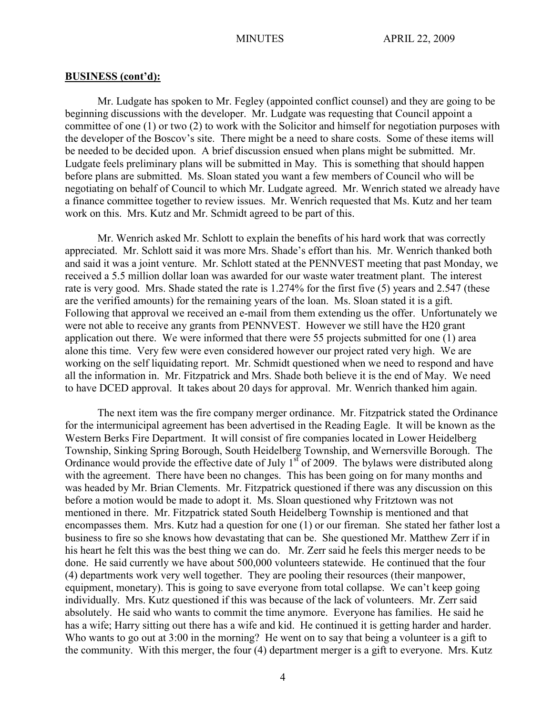Mr. Ludgate has spoken to Mr. Fegley (appointed conflict counsel) and they are going to be beginning discussions with the developer. Mr. Ludgate was requesting that Council appoint a committee of one (1) or two (2) to work with the Solicitor and himself for negotiation purposes with the developer of the Boscov's site. There might be a need to share costs. Some of these items will be needed to be decided upon. A brief discussion ensued when plans might be submitted. Mr. Ludgate feels preliminary plans will be submitted in May. This is something that should happen before plans are submitted. Ms. Sloan stated you want a few members of Council who will be negotiating on behalf of Council to which Mr. Ludgate agreed. Mr. Wenrich stated we already have a finance committee together to review issues. Mr. Wenrich requested that Ms. Kutz and her team work on this. Mrs. Kutz and Mr. Schmidt agreed to be part of this.

Mr. Wenrich asked Mr. Schlott to explain the benefits of his hard work that was correctly appreciated. Mr. Schlott said it was more Mrs. Shade's effort than his. Mr. Wenrich thanked both and said it was a joint venture. Mr. Schlott stated at the PENNVEST meeting that past Monday, we received a 5.5 million dollar loan was awarded for our waste water treatment plant. The interest rate is very good. Mrs. Shade stated the rate is 1.274% for the first five (5) years and 2.547 (these are the verified amounts) for the remaining years of the loan. Ms. Sloan stated it is a gift. Following that approval we received an e-mail from them extending us the offer. Unfortunately we were not able to receive any grants from PENNVEST. However we still have the H20 grant application out there. We were informed that there were 55 projects submitted for one (1) area alone this time. Very few were even considered however our project rated very high. We are working on the self liquidating report. Mr. Schmidt questioned when we need to respond and have all the information in. Mr. Fitzpatrick and Mrs. Shade both believe it is the end of May. We need to have DCED approval. It takes about 20 days for approval. Mr. Wenrich thanked him again.

The next item was the fire company merger ordinance. Mr. Fitzpatrick stated the Ordinance for the intermunicipal agreement has been advertised in the Reading Eagle. It will be known as the Western Berks Fire Department. It will consist of fire companies located in Lower Heidelberg Township, Sinking Spring Borough, South Heidelberg Township, and Wernersville Borough. The Ordinance would provide the effective date of July  $1<sup>st</sup>$  of 2009. The bylaws were distributed along with the agreement. There have been no changes. This has been going on for many months and was headed by Mr. Brian Clements. Mr. Fitzpatrick questioned if there was any discussion on this before a motion would be made to adopt it. Ms. Sloan questioned why Fritztown was not mentioned in there. Mr. Fitzpatrick stated South Heidelberg Township is mentioned and that encompasses them. Mrs. Kutz had a question for one (1) or our fireman. She stated her father lost a business to fire so she knows how devastating that can be. She questioned Mr. Matthew Zerr if in his heart he felt this was the best thing we can do. Mr. Zerr said he feels this merger needs to be done. He said currently we have about 500,000 volunteers statewide. He continued that the four (4) departments work very well together. They are pooling their resources (their manpower, equipment, monetary). This is going to save everyone from total collapse. We can't keep going individually. Mrs. Kutz questioned if this was because of the lack of volunteers. Mr. Zerr said absolutely. He said who wants to commit the time anymore. Everyone has families. He said he has a wife; Harry sitting out there has a wife and kid. He continued it is getting harder and harder. Who wants to go out at 3:00 in the morning? He went on to say that being a volunteer is a gift to the community. With this merger, the four (4) department merger is a gift to everyone. Mrs. Kutz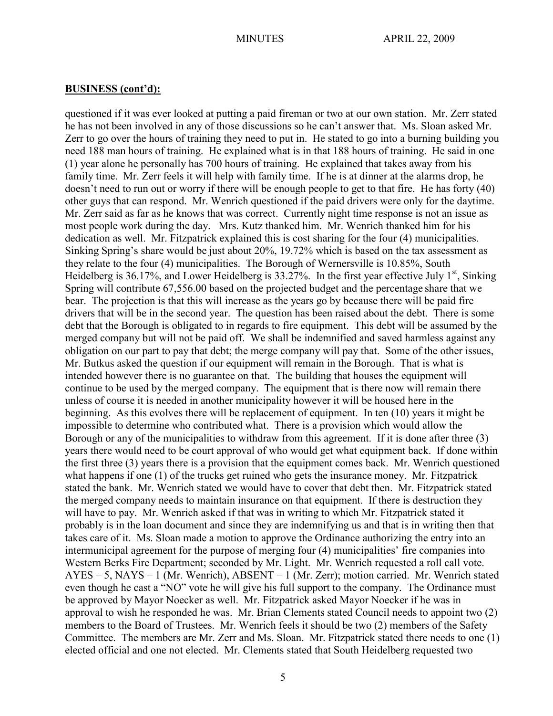questioned if it was ever looked at putting a paid fireman or two at our own station. Mr. Zerr stated he has not been involved in any of those discussions so he can't answer that. Ms. Sloan asked Mr. Zerr to go over the hours of training they need to put in. He stated to go into a burning building you need 188 man hours of training. He explained what is in that 188 hours of training. He said in one (1) year alone he personally has 700 hours of training. He explained that takes away from his family time. Mr. Zerr feels it will help with family time. If he is at dinner at the alarms drop, he doesn't need to run out or worry if there will be enough people to get to that fire. He has forty (40) other guys that can respond. Mr. Wenrich questioned if the paid drivers were only for the daytime. Mr. Zerr said as far as he knows that was correct. Currently night time response is not an issue as most people work during the day. Mrs. Kutz thanked him. Mr. Wenrich thanked him for his dedication as well. Mr. Fitzpatrick explained this is cost sharing for the four (4) municipalities. Sinking Spring's share would be just about 20%, 19.72% which is based on the tax assessment as they relate to the four (4) municipalities. The Borough of Wernersville is 10.85%, South Heidelberg is 36.17%, and Lower Heidelberg is  $33.27\%$ . In the first year effective July 1<sup>st</sup>, Sinking Spring will contribute 67,556.00 based on the projected budget and the percentage share that we bear. The projection is that this will increase as the years go by because there will be paid fire drivers that will be in the second year. The question has been raised about the debt. There is some debt that the Borough is obligated to in regards to fire equipment. This debt will be assumed by the merged company but will not be paid off. We shall be indemnified and saved harmless against any obligation on our part to pay that debt; the merge company will pay that. Some of the other issues, Mr. Butkus asked the question if our equipment will remain in the Borough. That is what is intended however there is no guarantee on that. The building that houses the equipment will continue to be used by the merged company. The equipment that is there now will remain there unless of course it is needed in another municipality however it will be housed here in the beginning. As this evolves there will be replacement of equipment. In ten (10) years it might be impossible to determine who contributed what. There is a provision which would allow the Borough or any of the municipalities to withdraw from this agreement. If it is done after three (3) years there would need to be court approval of who would get what equipment back. If done within the first three (3) years there is a provision that the equipment comes back. Mr. Wenrich questioned what happens if one (1) of the trucks get ruined who gets the insurance money. Mr. Fitzpatrick stated the bank. Mr. Wenrich stated we would have to cover that debt then. Mr. Fitzpatrick stated the merged company needs to maintain insurance on that equipment. If there is destruction they will have to pay. Mr. Wenrich asked if that was in writing to which Mr. Fitzpatrick stated it probably is in the loan document and since they are indemnifying us and that is in writing then that takes care of it. Ms. Sloan made a motion to approve the Ordinance authorizing the entry into an intermunicipal agreement for the purpose of merging four (4) municipalities' fire companies into Western Berks Fire Department; seconded by Mr. Light. Mr. Wenrich requested a roll call vote. AYES – 5, NAYS – 1 (Mr. Wenrich), ABSENT – 1 (Mr. Zerr); motion carried. Mr. Wenrich stated even though he cast a "NO" vote he will give his full support to the company. The Ordinance must be approved by Mayor Noecker as well. Mr. Fitzpatrick asked Mayor Noecker if he was in approval to wish he responded he was. Mr. Brian Clements stated Council needs to appoint two (2) members to the Board of Trustees. Mr. Wenrich feels it should be two (2) members of the Safety Committee. The members are Mr. Zerr and Ms. Sloan. Mr. Fitzpatrick stated there needs to one (1) elected official and one not elected. Mr. Clements stated that South Heidelberg requested two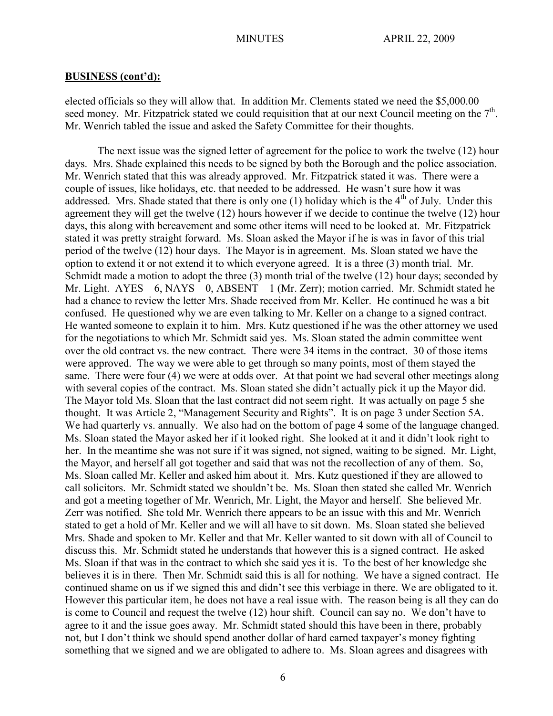elected officials so they will allow that. In addition Mr. Clements stated we need the \$5,000.00 seed money. Mr. Fitzpatrick stated we could requisition that at our next Council meeting on the  $7<sup>th</sup>$ . Mr. Wenrich tabled the issue and asked the Safety Committee for their thoughts.

The next issue was the signed letter of agreement for the police to work the twelve (12) hour days. Mrs. Shade explained this needs to be signed by both the Borough and the police association. Mr. Wenrich stated that this was already approved. Mr. Fitzpatrick stated it was. There were a couple of issues, like holidays, etc. that needed to be addressed. He wasn't sure how it was addressed. Mrs. Shade stated that there is only one  $(1)$  holiday which is the 4<sup>th</sup> of July. Under this agreement they will get the twelve (12) hours however if we decide to continue the twelve (12) hour days, this along with bereavement and some other items will need to be looked at. Mr. Fitzpatrick stated it was pretty straight forward. Ms. Sloan asked the Mayor if he is was in favor of this trial period of the twelve (12) hour days. The Mayor is in agreement. Ms. Sloan stated we have the option to extend it or not extend it to which everyone agreed. It is a three (3) month trial. Mr. Schmidt made a motion to adopt the three (3) month trial of the twelve (12) hour days; seconded by Mr. Light.  $AYES - 6$ ,  $NAYS - 0$ ,  $ABSENT - 1$  (Mr. Zerr); motion carried. Mr. Schmidt stated he had a chance to review the letter Mrs. Shade received from Mr. Keller. He continued he was a bit confused. He questioned why we are even talking to Mr. Keller on a change to a signed contract. He wanted someone to explain it to him. Mrs. Kutz questioned if he was the other attorney we used for the negotiations to which Mr. Schmidt said yes. Ms. Sloan stated the admin committee went over the old contract vs. the new contract. There were 34 items in the contract. 30 of those items were approved. The way we were able to get through so many points, most of them stayed the same. There were four (4) we were at odds over. At that point we had several other meetings along with several copies of the contract. Ms. Sloan stated she didn't actually pick it up the Mayor did. The Mayor told Ms. Sloan that the last contract did not seem right. It was actually on page 5 she thought. It was Article 2, "Management Security and Rights". It is on page 3 under Section 5A. We had quarterly vs. annually. We also had on the bottom of page 4 some of the language changed. Ms. Sloan stated the Mayor asked her if it looked right. She looked at it and it didn't look right to her. In the meantime she was not sure if it was signed, not signed, waiting to be signed. Mr. Light, the Mayor, and herself all got together and said that was not the recollection of any of them. So, Ms. Sloan called Mr. Keller and asked him about it. Mrs. Kutz questioned if they are allowed to call solicitors. Mr. Schmidt stated we shouldn't be. Ms. Sloan then stated she called Mr. Wenrich and got a meeting together of Mr. Wenrich, Mr. Light, the Mayor and herself. She believed Mr. Zerr was notified. She told Mr. Wenrich there appears to be an issue with this and Mr. Wenrich stated to get a hold of Mr. Keller and we will all have to sit down. Ms. Sloan stated she believed Mrs. Shade and spoken to Mr. Keller and that Mr. Keller wanted to sit down with all of Council to discuss this. Mr. Schmidt stated he understands that however this is a signed contract. He asked Ms. Sloan if that was in the contract to which she said yes it is. To the best of her knowledge she believes it is in there. Then Mr. Schmidt said this is all for nothing. We have a signed contract. He continued shame on us if we signed this and didn't see this verbiage in there. We are obligated to it. However this particular item, he does not have a real issue with. The reason being is all they can do is come to Council and request the twelve (12) hour shift. Council can say no. We don't have to agree to it and the issue goes away. Mr. Schmidt stated should this have been in there, probably not, but I don't think we should spend another dollar of hard earned taxpayer's money fighting something that we signed and we are obligated to adhere to. Ms. Sloan agrees and disagrees with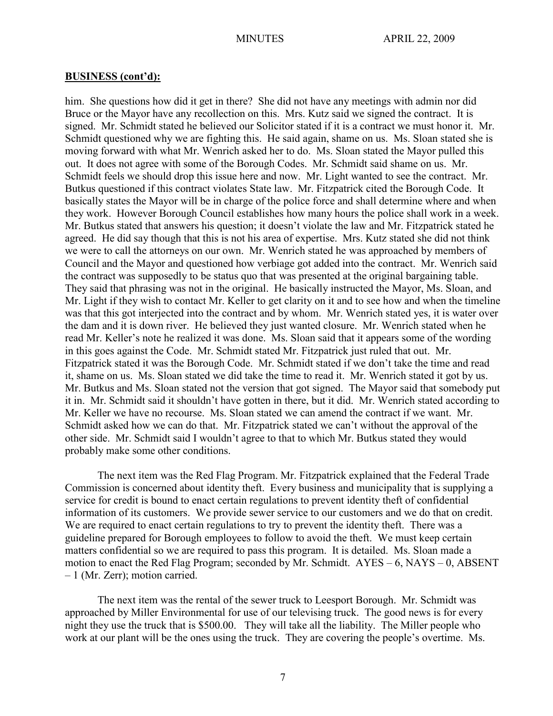him. She questions how did it get in there? She did not have any meetings with admin nor did Bruce or the Mayor have any recollection on this. Mrs. Kutz said we signed the contract. It is signed. Mr. Schmidt stated he believed our Solicitor stated if it is a contract we must honor it. Mr. Schmidt questioned why we are fighting this. He said again, shame on us. Ms. Sloan stated she is moving forward with what Mr. Wenrich asked her to do. Ms. Sloan stated the Mayor pulled this out. It does not agree with some of the Borough Codes. Mr. Schmidt said shame on us. Mr. Schmidt feels we should drop this issue here and now. Mr. Light wanted to see the contract. Mr. Butkus questioned if this contract violates State law. Mr. Fitzpatrick cited the Borough Code. It basically states the Mayor will be in charge of the police force and shall determine where and when they work. However Borough Council establishes how many hours the police shall work in a week. Mr. Butkus stated that answers his question; it doesn't violate the law and Mr. Fitzpatrick stated he agreed. He did say though that this is not his area of expertise. Mrs. Kutz stated she did not think we were to call the attorneys on our own. Mr. Wenrich stated he was approached by members of Council and the Mayor and questioned how verbiage got added into the contract. Mr. Wenrich said the contract was supposedly to be status quo that was presented at the original bargaining table. They said that phrasing was not in the original. He basically instructed the Mayor, Ms. Sloan, and Mr. Light if they wish to contact Mr. Keller to get clarity on it and to see how and when the timeline was that this got interjected into the contract and by whom. Mr. Wenrich stated yes, it is water over the dam and it is down river. He believed they just wanted closure. Mr. Wenrich stated when he read Mr. Keller's note he realized it was done. Ms. Sloan said that it appears some of the wording in this goes against the Code. Mr. Schmidt stated Mr. Fitzpatrick just ruled that out. Mr. Fitzpatrick stated it was the Borough Code. Mr. Schmidt stated if we don't take the time and read it, shame on us. Ms. Sloan stated we did take the time to read it. Mr. Wenrich stated it got by us. Mr. Butkus and Ms. Sloan stated not the version that got signed. The Mayor said that somebody put it in. Mr. Schmidt said it shouldn't have gotten in there, but it did. Mr. Wenrich stated according to Mr. Keller we have no recourse. Ms. Sloan stated we can amend the contract if we want. Mr. Schmidt asked how we can do that. Mr. Fitzpatrick stated we can't without the approval of the other side. Mr. Schmidt said I wouldn't agree to that to which Mr. Butkus stated they would probably make some other conditions.

The next item was the Red Flag Program. Mr. Fitzpatrick explained that the Federal Trade Commission is concerned about identity theft. Every business and municipality that is supplying a service for credit is bound to enact certain regulations to prevent identity theft of confidential information of its customers. We provide sewer service to our customers and we do that on credit. We are required to enact certain regulations to try to prevent the identity theft. There was a guideline prepared for Borough employees to follow to avoid the theft. We must keep certain matters confidential so we are required to pass this program. It is detailed. Ms. Sloan made a motion to enact the Red Flag Program; seconded by Mr. Schmidt. AYES – 6, NAYS – 0, ABSENT – 1 (Mr. Zerr); motion carried.

The next item was the rental of the sewer truck to Leesport Borough. Mr. Schmidt was approached by Miller Environmental for use of our televising truck. The good news is for every night they use the truck that is \$500.00. They will take all the liability. The Miller people who work at our plant will be the ones using the truck. They are covering the people's overtime. Ms.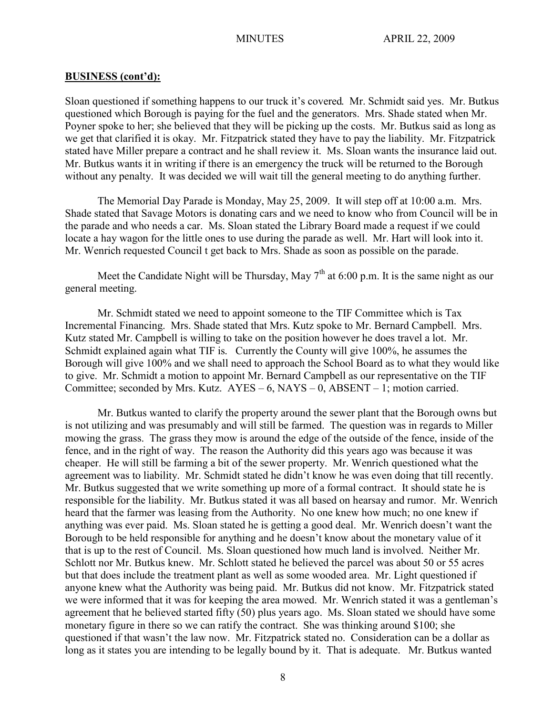Sloan questioned if something happens to our truck it's covered. Mr. Schmidt said yes. Mr. Butkus questioned which Borough is paying for the fuel and the generators. Mrs. Shade stated when Mr. Poyner spoke to her; she believed that they will be picking up the costs. Mr. Butkus said as long as we get that clarified it is okay. Mr. Fitzpatrick stated they have to pay the liability. Mr. Fitzpatrick stated have Miller prepare a contract and he shall review it. Ms. Sloan wants the insurance laid out. Mr. Butkus wants it in writing if there is an emergency the truck will be returned to the Borough without any penalty. It was decided we will wait till the general meeting to do anything further.

The Memorial Day Parade is Monday, May 25, 2009. It will step off at 10:00 a.m. Mrs. Shade stated that Savage Motors is donating cars and we need to know who from Council will be in the parade and who needs a car. Ms. Sloan stated the Library Board made a request if we could locate a hay wagon for the little ones to use during the parade as well. Mr. Hart will look into it. Mr. Wenrich requested Council t get back to Mrs. Shade as soon as possible on the parade.

Meet the Candidate Night will be Thursday, May  $7<sup>th</sup>$  at 6:00 p.m. It is the same night as our general meeting.

Mr. Schmidt stated we need to appoint someone to the TIF Committee which is Tax Incremental Financing. Mrs. Shade stated that Mrs. Kutz spoke to Mr. Bernard Campbell. Mrs. Kutz stated Mr. Campbell is willing to take on the position however he does travel a lot. Mr. Schmidt explained again what TIF is. Currently the County will give 100%, he assumes the Borough will give 100% and we shall need to approach the School Board as to what they would like to give. Mr. Schmidt a motion to appoint Mr. Bernard Campbell as our representative on the TIF Committee; seconded by Mrs. Kutz.  $AYES - 6$ , NAYS – 0, ABSENT – 1; motion carried.

Mr. Butkus wanted to clarify the property around the sewer plant that the Borough owns but is not utilizing and was presumably and will still be farmed. The question was in regards to Miller mowing the grass. The grass they mow is around the edge of the outside of the fence, inside of the fence, and in the right of way. The reason the Authority did this years ago was because it was cheaper. He will still be farming a bit of the sewer property. Mr. Wenrich questioned what the agreement was to liability. Mr. Schmidt stated he didn't know he was even doing that till recently. Mr. Butkus suggested that we write something up more of a formal contract. It should state he is responsible for the liability. Mr. Butkus stated it was all based on hearsay and rumor. Mr. Wenrich heard that the farmer was leasing from the Authority. No one knew how much; no one knew if anything was ever paid. Ms. Sloan stated he is getting a good deal. Mr. Wenrich doesn't want the Borough to be held responsible for anything and he doesn't know about the monetary value of it that is up to the rest of Council. Ms. Sloan questioned how much land is involved. Neither Mr. Schlott nor Mr. Butkus knew. Mr. Schlott stated he believed the parcel was about 50 or 55 acres but that does include the treatment plant as well as some wooded area. Mr. Light questioned if anyone knew what the Authority was being paid. Mr. Butkus did not know. Mr. Fitzpatrick stated we were informed that it was for keeping the area mowed. Mr. Wenrich stated it was a gentleman's agreement that he believed started fifty (50) plus years ago. Ms. Sloan stated we should have some monetary figure in there so we can ratify the contract. She was thinking around \$100; she questioned if that wasn't the law now. Mr. Fitzpatrick stated no. Consideration can be a dollar as long as it states you are intending to be legally bound by it. That is adequate. Mr. Butkus wanted